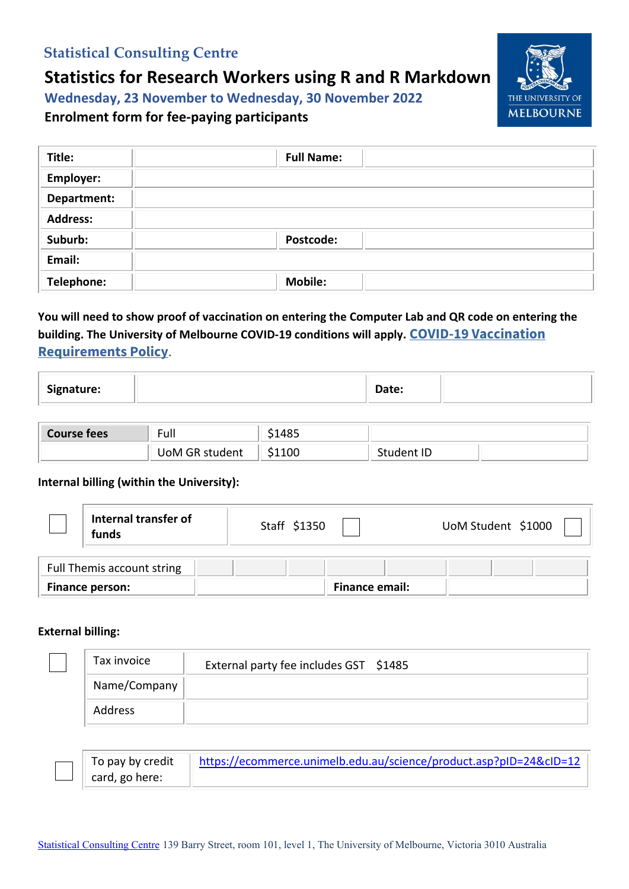# **Statistical Consulting Centre**

# **Statistics for Research Workers using R and R Markdown**

**Wednesday, 23 November to Wednesday, 30 November 2022**

## **Enrolment form for fee-paying participants**

| Title:          | <b>Full Name:</b> |
|-----------------|-------------------|
| Employer:       |                   |
| Department:     |                   |
| <b>Address:</b> |                   |
| Suburb:         | <b>Postcode:</b>  |
| Email:          |                   |
| Telephone:      | <b>Mobile:</b>    |

## **You will need to show proof of vaccination on entering the Computer Lab and QR code on entering the building. The University of Melbourne COVID-19 conditions will apply. [COVID-19 Vaccination](https://policy.unimelb.edu.au/MPF1360)  [Requirements Policy](https://policy.unimelb.edu.au/MPF1360)**.

| Signature: | Date: |
|------------|-------|
|------------|-------|

| Course fees | - 1<br>`-ul∟   | <b>10 L</b><br>⊤ບ⊐ |            |  |
|-------------|----------------|--------------------|------------|--|
|             | UoM GR student | \$1100             | Student ID |  |

#### **Internal billing (within the University):**

|                 | Internal transfer of<br>funds | Staff \$1350   | UoM Student \$1000 |
|-----------------|-------------------------------|----------------|--------------------|
|                 | Full Themis account string    |                |                    |
| Finance person: |                               | Finance email: |                    |

#### **External billing:**

| Tax invoice  | External party fee includes GST \$1485 |
|--------------|----------------------------------------|
| Name/Company |                                        |
| Address      |                                        |

| $\parallel$ To pay by credit | https://ecommerce.unimelb.edu.au/science/product.asp?pID=24&cID=12 |
|------------------------------|--------------------------------------------------------------------|
| $\perp$ card, go here:       |                                                                    |